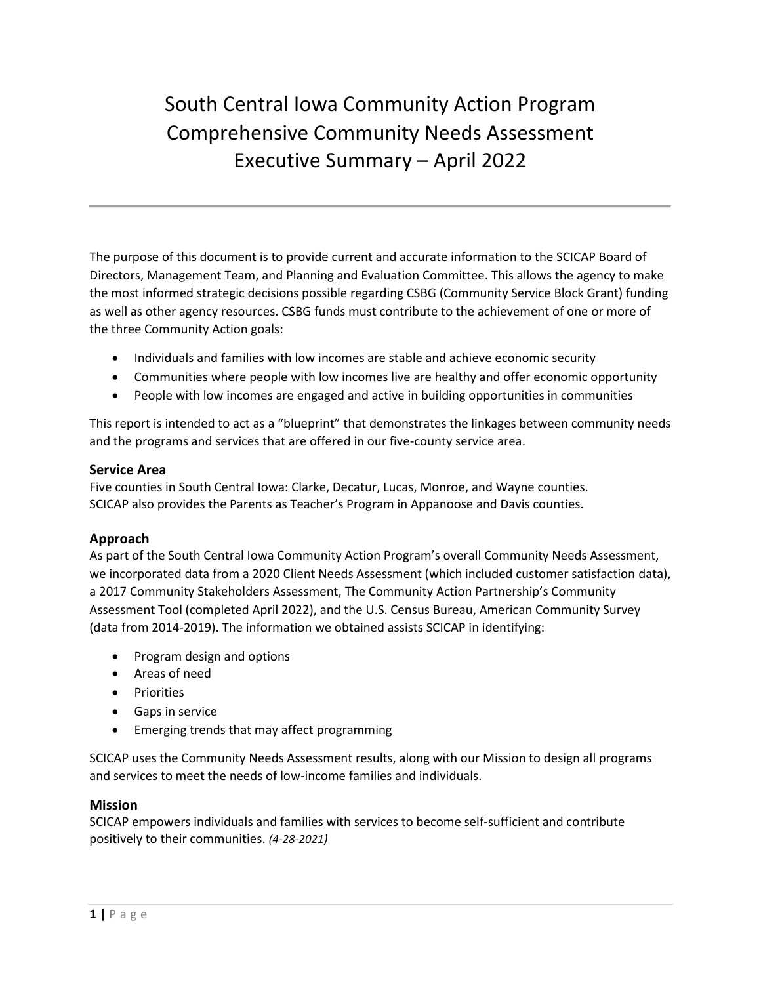# South Central Iowa Community Action Program Comprehensive Community Needs Assessment Executive Summary – April 2022

The purpose of this document is to provide current and accurate information to the SCICAP Board of Directors, Management Team, and Planning and Evaluation Committee. This allows the agency to make the most informed strategic decisions possible regarding CSBG (Community Service Block Grant) funding as well as other agency resources. CSBG funds must contribute to the achievement of one or more of the three Community Action goals:

- Individuals and families with low incomes are stable and achieve economic security
- Communities where people with low incomes live are healthy and offer economic opportunity
- People with low incomes are engaged and active in building opportunities in communities

This report is intended to act as a "blueprint" that demonstrates the linkages between community needs and the programs and services that are offered in our five-county service area.

# **Service Area**

Five counties in South Central Iowa: Clarke, Decatur, Lucas, Monroe, and Wayne counties. SCICAP also provides the Parents as Teacher's Program in Appanoose and Davis counties.

# **Approach**

As part of the South Central Iowa Community Action Program's overall Community Needs Assessment, we incorporated data from a 2020 Client Needs Assessment (which included customer satisfaction data), a 2017 Community Stakeholders Assessment, The Community Action Partnership's Community Assessment Tool (completed April 2022), and the U.S. Census Bureau, American Community Survey (data from 2014-2019). The information we obtained assists SCICAP in identifying:

- Program design and options
- Areas of need
- Priorities
- Gaps in service
- Emerging trends that may affect programming

SCICAP uses the Community Needs Assessment results, along with our Mission to design all programs and services to meet the needs of low-income families and individuals.

#### **Mission**

SCICAP empowers individuals and families with services to become self-sufficient and contribute positively to their communities. *(4-28-2021)*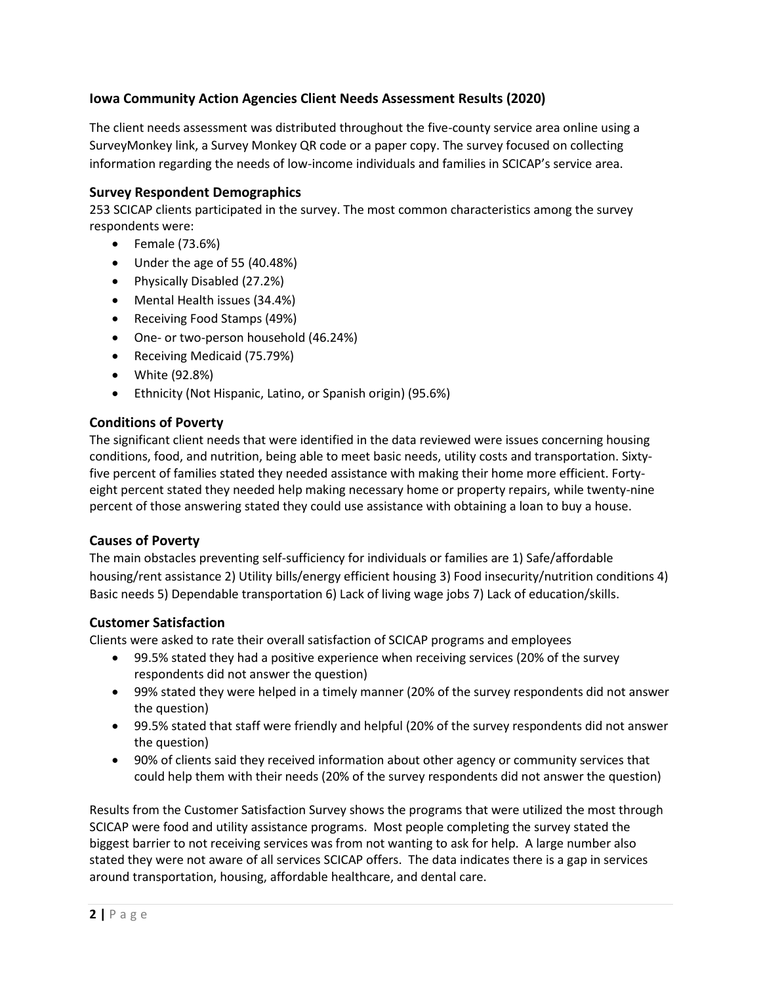# **Iowa Community Action Agencies Client Needs Assessment Results (2020)**

The client needs assessment was distributed throughout the five-county service area online using a SurveyMonkey link, a Survey Monkey QR code or a paper copy. The survey focused on collecting information regarding the needs of low-income individuals and families in SCICAP's service area.

## **Survey Respondent Demographics**

253 SCICAP clients participated in the survey. The most common characteristics among the survey respondents were:

- Female (73.6%)
- Under the age of 55 (40.48%)
- Physically Disabled (27.2%)
- Mental Health issues (34.4%)
- Receiving Food Stamps (49%)
- One- or two-person household (46.24%)
- Receiving Medicaid (75.79%)
- White (92.8%)
- Ethnicity (Not Hispanic, Latino, or Spanish origin) (95.6%)

# **Conditions of Poverty**

The significant client needs that were identified in the data reviewed were issues concerning housing conditions, food, and nutrition, being able to meet basic needs, utility costs and transportation. Sixtyfive percent of families stated they needed assistance with making their home more efficient. Fortyeight percent stated they needed help making necessary home or property repairs, while twenty-nine percent of those answering stated they could use assistance with obtaining a loan to buy a house.

#### **Causes of Poverty**

The main obstacles preventing self-sufficiency for individuals or families are 1) Safe/affordable housing/rent assistance 2) Utility bills/energy efficient housing 3) Food insecurity/nutrition conditions 4) Basic needs 5) Dependable transportation 6) Lack of living wage jobs 7) Lack of education/skills.

# **Customer Satisfaction**

Clients were asked to rate their overall satisfaction of SCICAP programs and employees

- 99.5% stated they had a positive experience when receiving services (20% of the survey respondents did not answer the question)
- 99% stated they were helped in a timely manner (20% of the survey respondents did not answer the question)
- 99.5% stated that staff were friendly and helpful (20% of the survey respondents did not answer the question)
- 90% of clients said they received information about other agency or community services that could help them with their needs (20% of the survey respondents did not answer the question)

Results from the Customer Satisfaction Survey shows the programs that were utilized the most through SCICAP were food and utility assistance programs. Most people completing the survey stated the biggest barrier to not receiving services was from not wanting to ask for help. A large number also stated they were not aware of all services SCICAP offers. The data indicates there is a gap in services around transportation, housing, affordable healthcare, and dental care.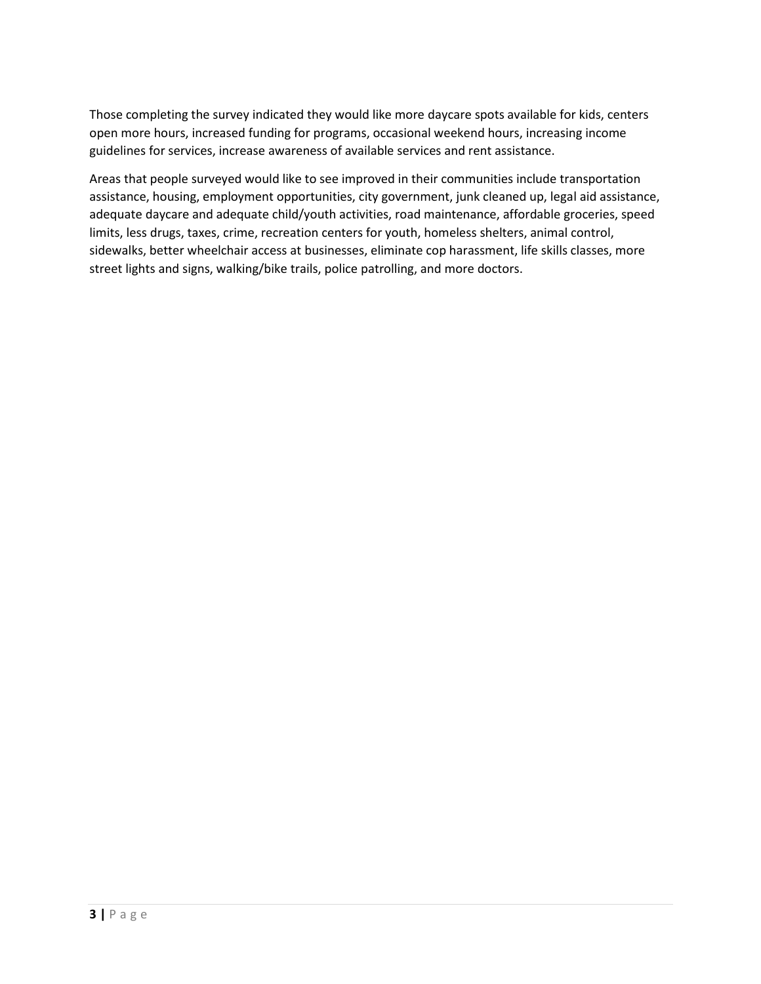Those completing the survey indicated they would like more daycare spots available for kids, centers open more hours, increased funding for programs, occasional weekend hours, increasing income guidelines for services, increase awareness of available services and rent assistance.

Areas that people surveyed would like to see improved in their communities include transportation assistance, housing, employment opportunities, city government, junk cleaned up, legal aid assistance, adequate daycare and adequate child/youth activities, road maintenance, affordable groceries, speed limits, less drugs, taxes, crime, recreation centers for youth, homeless shelters, animal control, sidewalks, better wheelchair access at businesses, eliminate cop harassment, life skills classes, more street lights and signs, walking/bike trails, police patrolling, and more doctors.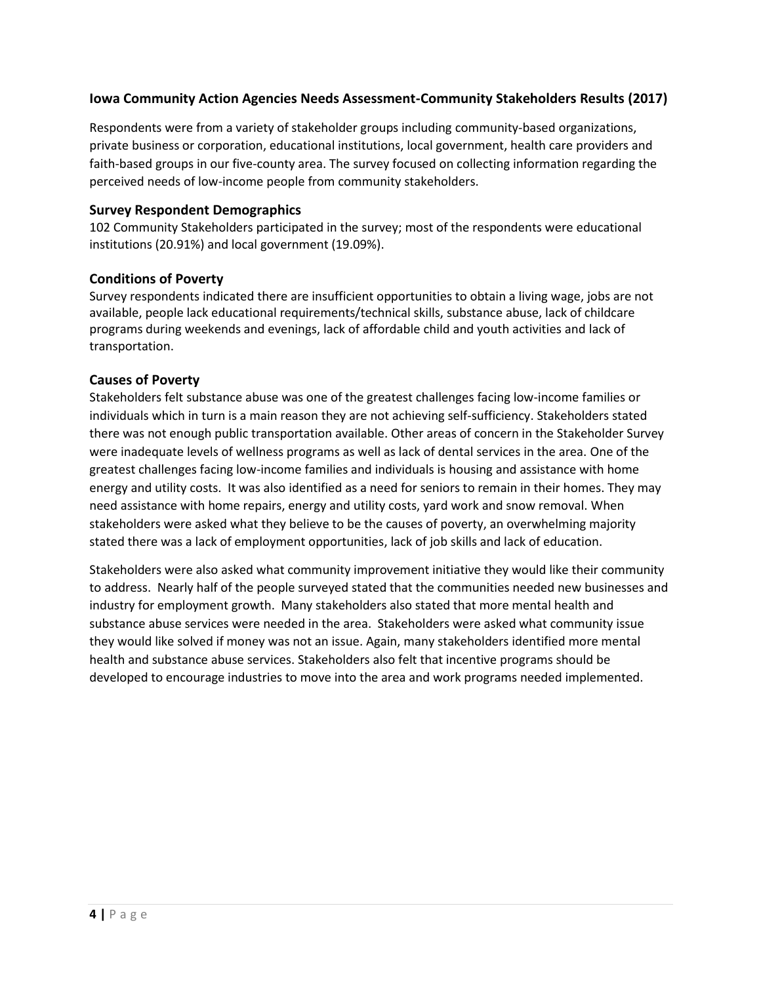# **Iowa Community Action Agencies Needs Assessment-Community Stakeholders Results (2017)**

Respondents were from a variety of stakeholder groups including community-based organizations, private business or corporation, educational institutions, local government, health care providers and faith-based groups in our five-county area. The survey focused on collecting information regarding the perceived needs of low-income people from community stakeholders.

#### **Survey Respondent Demographics**

102 Community Stakeholders participated in the survey; most of the respondents were educational institutions (20.91%) and local government (19.09%).

#### **Conditions of Poverty**

Survey respondents indicated there are insufficient opportunities to obtain a living wage, jobs are not available, people lack educational requirements/technical skills, substance abuse, lack of childcare programs during weekends and evenings, lack of affordable child and youth activities and lack of transportation.

#### **Causes of Poverty**

Stakeholders felt substance abuse was one of the greatest challenges facing low-income families or individuals which in turn is a main reason they are not achieving self-sufficiency. Stakeholders stated there was not enough public transportation available. Other areas of concern in the Stakeholder Survey were inadequate levels of wellness programs as well as lack of dental services in the area. One of the greatest challenges facing low-income families and individuals is housing and assistance with home energy and utility costs. It was also identified as a need for seniors to remain in their homes. They may need assistance with home repairs, energy and utility costs, yard work and snow removal. When stakeholders were asked what they believe to be the causes of poverty, an overwhelming majority stated there was a lack of employment opportunities, lack of job skills and lack of education.

Stakeholders were also asked what community improvement initiative they would like their community to address. Nearly half of the people surveyed stated that the communities needed new businesses and industry for employment growth. Many stakeholders also stated that more mental health and substance abuse services were needed in the area. Stakeholders were asked what community issue they would like solved if money was not an issue. Again, many stakeholders identified more mental health and substance abuse services. Stakeholders also felt that incentive programs should be developed to encourage industries to move into the area and work programs needed implemented.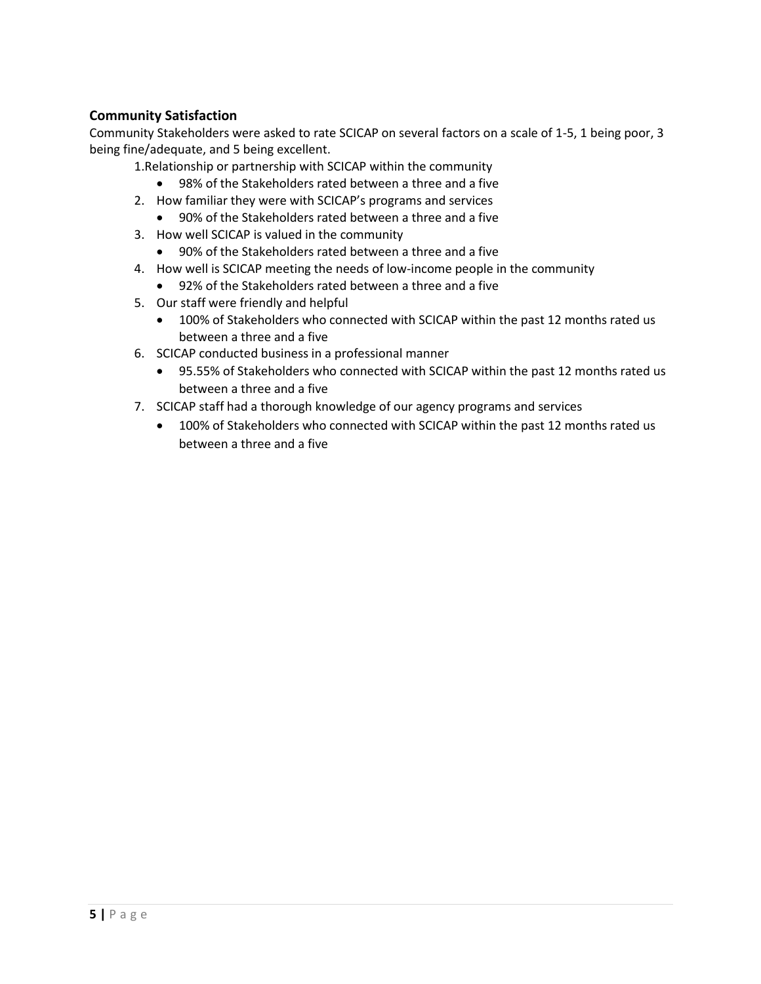# **Community Satisfaction**

Community Stakeholders were asked to rate SCICAP on several factors on a scale of 1-5, 1 being poor, 3 being fine/adequate, and 5 being excellent.

1.Relationship or partnership with SCICAP within the community

- 98% of the Stakeholders rated between a three and a five
- 2. How familiar they were with SCICAP's programs and services
	- 90% of the Stakeholders rated between a three and a five
- 3. How well SCICAP is valued in the community
	- 90% of the Stakeholders rated between a three and a five
- 4. How well is SCICAP meeting the needs of low-income people in the community
	- 92% of the Stakeholders rated between a three and a five
- 5. Our staff were friendly and helpful
	- 100% of Stakeholders who connected with SCICAP within the past 12 months rated us between a three and a five
- 6. SCICAP conducted business in a professional manner
	- 95.55% of Stakeholders who connected with SCICAP within the past 12 months rated us between a three and a five
- 7. SCICAP staff had a thorough knowledge of our agency programs and services
	- 100% of Stakeholders who connected with SCICAP within the past 12 months rated us between a three and a five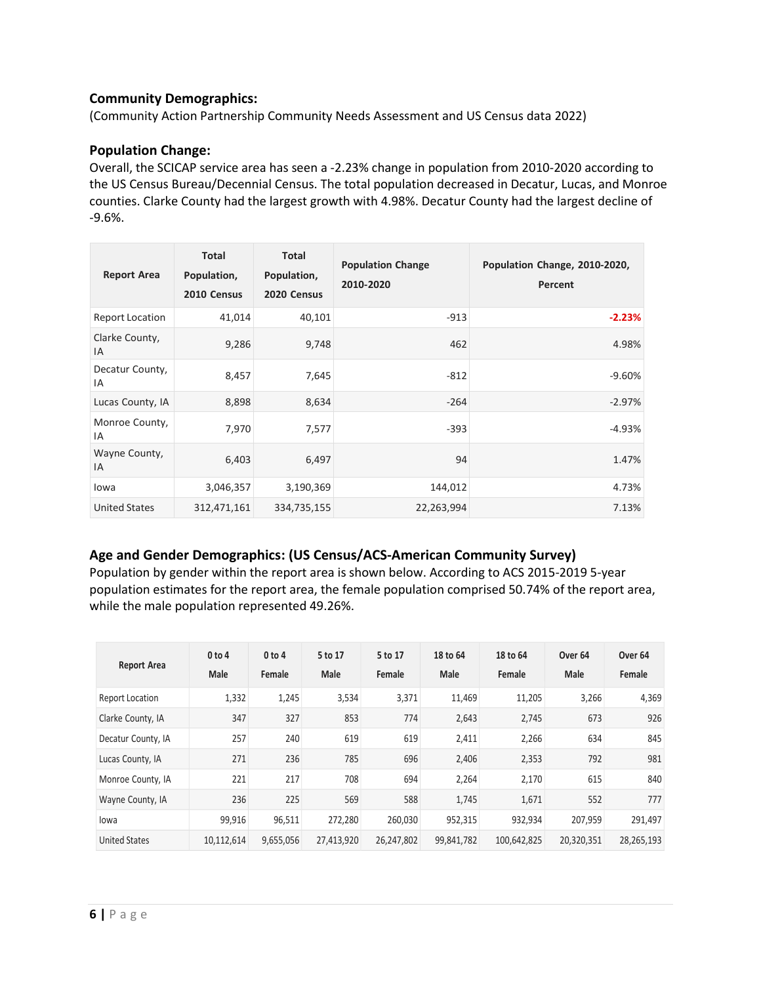# **Community Demographics:**

(Community Action Partnership Community Needs Assessment and US Census data 2022)

# **Population Change:**

Overall, the SCICAP service area has seen a -2.23% change in population from 2010-2020 according to the US Census Bureau/Decennial Census. The total population decreased in Decatur, Lucas, and Monroe counties. Clarke County had the largest growth with 4.98%. Decatur County had the largest decline of -9.6%.

| <b>Report Area</b>     | <b>Total</b><br>Population,<br>2010 Census | <b>Total</b><br>Population,<br>2020 Census | <b>Population Change</b><br>2010-2020 | Population Change, 2010-2020,<br>Percent |
|------------------------|--------------------------------------------|--------------------------------------------|---------------------------------------|------------------------------------------|
| <b>Report Location</b> | 41,014                                     | 40,101                                     | $-913$                                | $-2.23%$                                 |
| Clarke County,<br>ΙA   | 9,286                                      | 9,748                                      | 462                                   | 4.98%                                    |
| Decatur County,<br>IA  | 8,457                                      | 7,645                                      | $-812$                                | $-9.60\%$                                |
| Lucas County, IA       | 8,898                                      | 8,634                                      | $-264$                                | $-2.97%$                                 |
| Monroe County,<br>ΙA   | 7,970                                      | 7,577                                      | $-393$                                | $-4.93%$                                 |
| Wayne County,<br>IA    | 6,403                                      | 6,497                                      | 94                                    | 1.47%                                    |
| lowa                   | 3,046,357                                  | 3,190,369                                  | 144,012                               | 4.73%                                    |
| <b>United States</b>   | 312,471,161                                | 334,735,155                                | 22,263,994                            | 7.13%                                    |

# **Age and Gender Demographics: (US Census/ACS-American Community Survey)**

Population by gender within the report area is shown below. According to ACS 2015-2019 5-year population estimates for the report area, the female population comprised 50.74% of the report area, while the male population represented 49.26%.

| <b>Report Area</b>     | 0 to 4     | 0 to 4    | 5 to 17    | 5 to 17    | 18 to 64   | 18 to 64    | Over <sub>64</sub> | Over <sub>64</sub> |
|------------------------|------------|-----------|------------|------------|------------|-------------|--------------------|--------------------|
|                        | Male       | Female    | Male       | Female     | Male       | Female      | Male               | Female             |
| <b>Report Location</b> | 1,332      | 1,245     | 3,534      | 3,371      | 11,469     | 11,205      | 3,266              | 4,369              |
| Clarke County, IA      | 347        | 327       | 853        | 774        | 2,643      | 2,745       | 673                | 926                |
| Decatur County, IA     | 257        | 240       | 619        | 619        | 2,411      | 2,266       | 634                | 845                |
| Lucas County, IA       | 271        | 236       | 785        | 696        | 2,406      | 2,353       | 792                | 981                |
| Monroe County, IA      | 221        | 217       | 708        | 694        | 2,264      | 2,170       | 615                | 840                |
| Wayne County, IA       | 236        | 225       | 569        | 588        | 1,745      | 1,671       | 552                | 777                |
| lowa                   | 99,916     | 96,511    | 272,280    | 260,030    | 952,315    | 932,934     | 207,959            | 291.497            |
| <b>United States</b>   | 10.112.614 | 9,655,056 | 27,413,920 | 26.247.802 | 99.841.782 | 100.642.825 | 20.320.351         | 28,265,193         |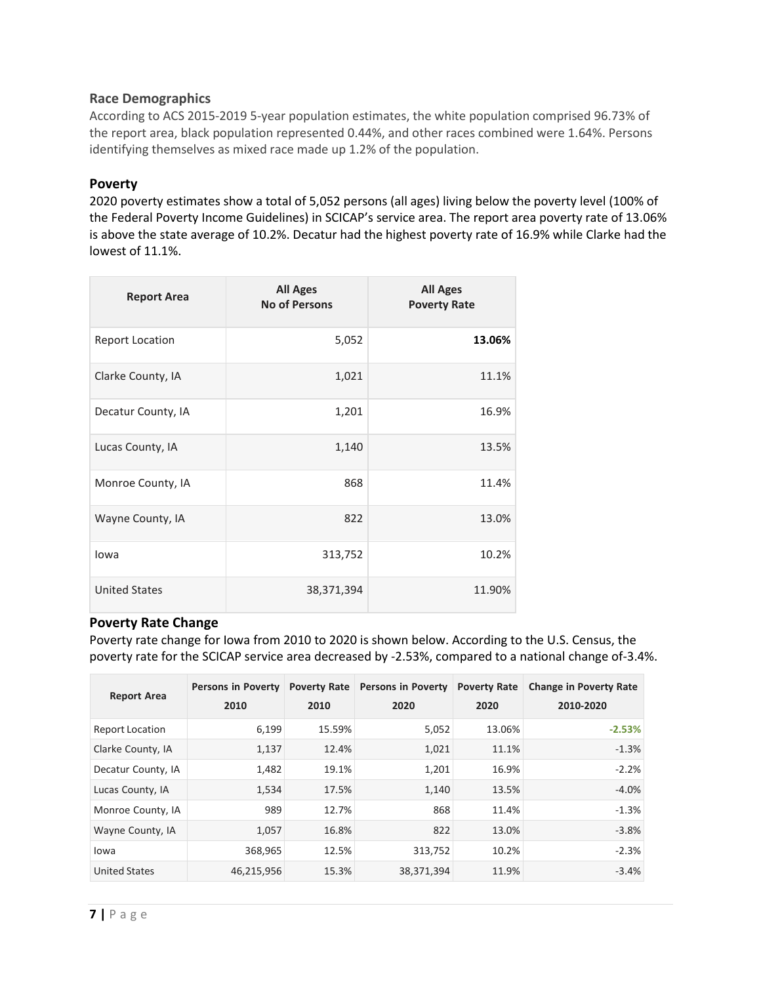# **Race Demographics**

According to ACS 2015-2019 5-year population estimates, the white population comprised 96.73% of the report area, black population represented 0.44%, and other races combined were 1.64%. Persons identifying themselves as mixed race made up 1.2% of the population.

# **Poverty**

2020 poverty estimates show a total of 5,052 persons (all ages) living below the poverty level (100% of the Federal Poverty Income Guidelines) in SCICAP's service area. The report area poverty rate of 13.06% is above the state average of 10.2%. Decatur had the highest poverty rate of 16.9% while Clarke had the lowest of 11.1%.

| <b>Report Area</b>     | <b>All Ages</b><br><b>No of Persons</b> | <b>All Ages</b><br><b>Poverty Rate</b> |
|------------------------|-----------------------------------------|----------------------------------------|
| <b>Report Location</b> | 5,052                                   | 13.06%                                 |
| Clarke County, IA      | 1,021                                   | 11.1%                                  |
| Decatur County, IA     | 1,201                                   | 16.9%                                  |
| Lucas County, IA       | 1,140                                   | 13.5%                                  |
| Monroe County, IA      | 868                                     | 11.4%                                  |
| Wayne County, IA       | 822                                     | 13.0%                                  |
| lowa                   | 313,752                                 | 10.2%                                  |
| <b>United States</b>   | 38,371,394                              | 11.90%                                 |

#### **Poverty Rate Change**

Poverty rate change for Iowa from 2010 to 2020 is shown below. According to the U.S. Census, the poverty rate for the SCICAP service area decreased by -2.53%, compared to a national change of-3.4%.

| <b>Report Area</b>     | Persons in Poverty<br>2010 | <b>Poverty Rate</b><br>2010 | <b>Persons in Poverty</b><br>2020 | <b>Poverty Rate</b><br>2020 | <b>Change in Poverty Rate</b><br>2010-2020 |
|------------------------|----------------------------|-----------------------------|-----------------------------------|-----------------------------|--------------------------------------------|
| <b>Report Location</b> | 6,199                      | 15.59%                      | 5,052                             | 13.06%                      | $-2.53%$                                   |
| Clarke County, IA      | 1,137                      | 12.4%                       | 1,021                             | 11.1%                       | $-1.3%$                                    |
| Decatur County, IA     | 1,482                      | 19.1%                       | 1,201                             | 16.9%                       | $-2.2%$                                    |
| Lucas County, IA       | 1,534                      | 17.5%                       | 1,140                             | 13.5%                       | $-4.0%$                                    |
| Monroe County, IA      | 989                        | 12.7%                       | 868                               | 11.4%                       | $-1.3%$                                    |
| Wayne County, IA       | 1,057                      | 16.8%                       | 822                               | 13.0%                       | $-3.8%$                                    |
| lowa                   | 368,965                    | 12.5%                       | 313,752                           | 10.2%                       | $-2.3%$                                    |
| <b>United States</b>   | 46,215,956                 | 15.3%                       | 38,371,394                        | 11.9%                       | $-3.4%$                                    |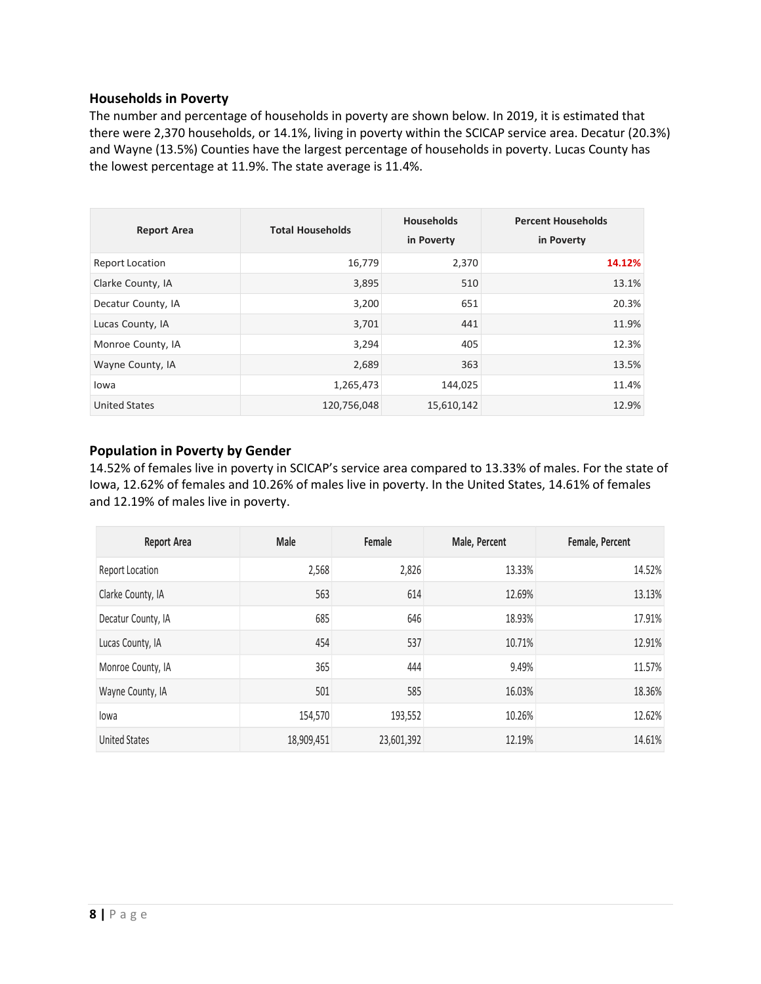# **Households in Poverty**

The number and percentage of households in poverty are shown below. In 2019, it is estimated that there were 2,370 households, or 14.1%, living in poverty within the SCICAP service area. Decatur (20.3%) and Wayne (13.5%) Counties have the largest percentage of households in poverty. Lucas County has the lowest percentage at 11.9%. The state average is 11.4%.

| <b>Report Area</b>     | <b>Total Households</b> | <b>Households</b><br>in Poverty | <b>Percent Households</b><br>in Poverty |
|------------------------|-------------------------|---------------------------------|-----------------------------------------|
| <b>Report Location</b> | 16,779                  | 2,370                           | 14.12%                                  |
| Clarke County, IA      | 3,895                   | 510                             | 13.1%                                   |
| Decatur County, IA     | 3,200                   | 651                             | 20.3%                                   |
| Lucas County, IA       | 3,701                   | 441                             | 11.9%                                   |
| Monroe County, IA      | 3,294                   | 405                             | 12.3%                                   |
| Wayne County, IA       | 2,689                   | 363                             | 13.5%                                   |
| lowa                   | 1,265,473               | 144,025                         | 11.4%                                   |
| <b>United States</b>   | 120,756,048             | 15,610,142                      | 12.9%                                   |

# **Population in Poverty by Gender**

14.52% of females live in poverty in SCICAP's service area compared to 13.33% of males. For the state of Iowa, 12.62% of females and 10.26% of males live in poverty. In the United States, 14.61% of females and 12.19% of males live in poverty.

| <b>Report Area</b>     | <b>Male</b> | Female     | Male, Percent | Female, Percent |
|------------------------|-------------|------------|---------------|-----------------|
| <b>Report Location</b> | 2,568       | 2,826      | 13.33%        | 14.52%          |
| Clarke County, IA      | 563         | 614        | 12.69%        | 13.13%          |
| Decatur County, IA     | 685         | 646        | 18.93%        | 17.91%          |
| Lucas County, IA       | 454         | 537        | 10.71%        | 12.91%          |
| Monroe County, IA      | 365         | 444        | 9.49%         | 11.57%          |
| Wayne County, IA       | 501         | 585        | 16.03%        | 18.36%          |
| lowa                   | 154,570     | 193,552    | 10.26%        | 12.62%          |
| <b>United States</b>   | 18,909,451  | 23,601,392 | 12.19%        | 14.61%          |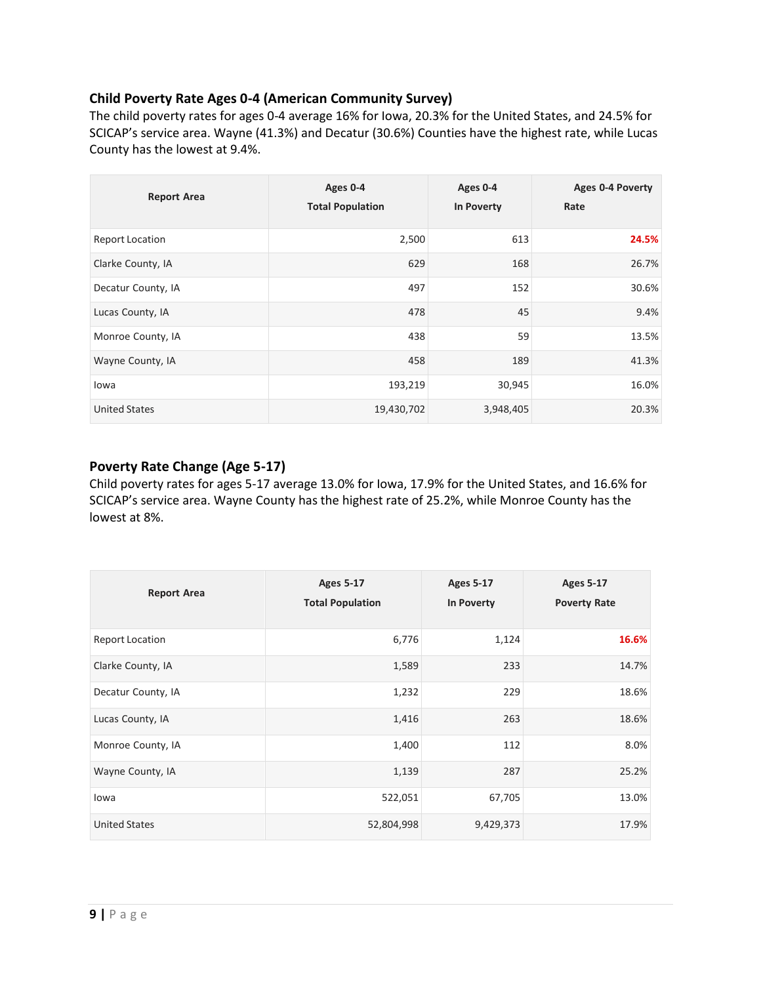# **Child Poverty Rate Ages 0-4 (American Community Survey)**

The child poverty rates for ages 0-4 average 16% for Iowa, 20.3% for the United States, and 24.5% for SCICAP's service area. Wayne (41.3%) and Decatur (30.6%) Counties have the highest rate, while Lucas County has the lowest at 9.4%.

| <b>Report Area</b>     | Ages 0-4<br><b>Total Population</b> | Ages 0-4<br>In Poverty | Ages 0-4 Poverty<br>Rate |
|------------------------|-------------------------------------|------------------------|--------------------------|
| <b>Report Location</b> | 2,500                               | 613                    | 24.5%                    |
| Clarke County, IA      | 629                                 | 168                    | 26.7%                    |
| Decatur County, IA     | 497                                 | 152                    | 30.6%                    |
| Lucas County, IA       | 478                                 | 45                     | 9.4%                     |
| Monroe County, IA      | 438                                 | 59                     | 13.5%                    |
| Wayne County, IA       | 458                                 | 189                    | 41.3%                    |
| lowa                   | 193,219                             | 30,945                 | 16.0%                    |
| <b>United States</b>   | 19,430,702                          | 3,948,405              | 20.3%                    |

# **Poverty Rate Change (Age 5-17)**

Child poverty rates for ages 5-17 average 13.0% for Iowa, 17.9% for the United States, and 16.6% for SCICAP's service area. Wayne County has the highest rate of 25.2%, while Monroe County has the lowest at 8%.

| <b>Report Area</b>     | <b>Ages 5-17</b><br><b>Total Population</b> | <b>Ages 5-17</b><br>In Poverty | <b>Ages 5-17</b><br><b>Poverty Rate</b> |
|------------------------|---------------------------------------------|--------------------------------|-----------------------------------------|
| <b>Report Location</b> | 6,776                                       | 1,124                          | 16.6%                                   |
| Clarke County, IA      | 1,589                                       | 233                            | 14.7%                                   |
| Decatur County, IA     | 1,232                                       | 229                            | 18.6%                                   |
| Lucas County, IA       | 1,416                                       | 263                            | 18.6%                                   |
| Monroe County, IA      | 1,400                                       | 112                            | 8.0%                                    |
| Wayne County, IA       | 1,139                                       | 287                            | 25.2%                                   |
| lowa                   | 522,051                                     | 67,705                         | 13.0%                                   |
| <b>United States</b>   | 52,804,998                                  | 9,429,373                      | 17.9%                                   |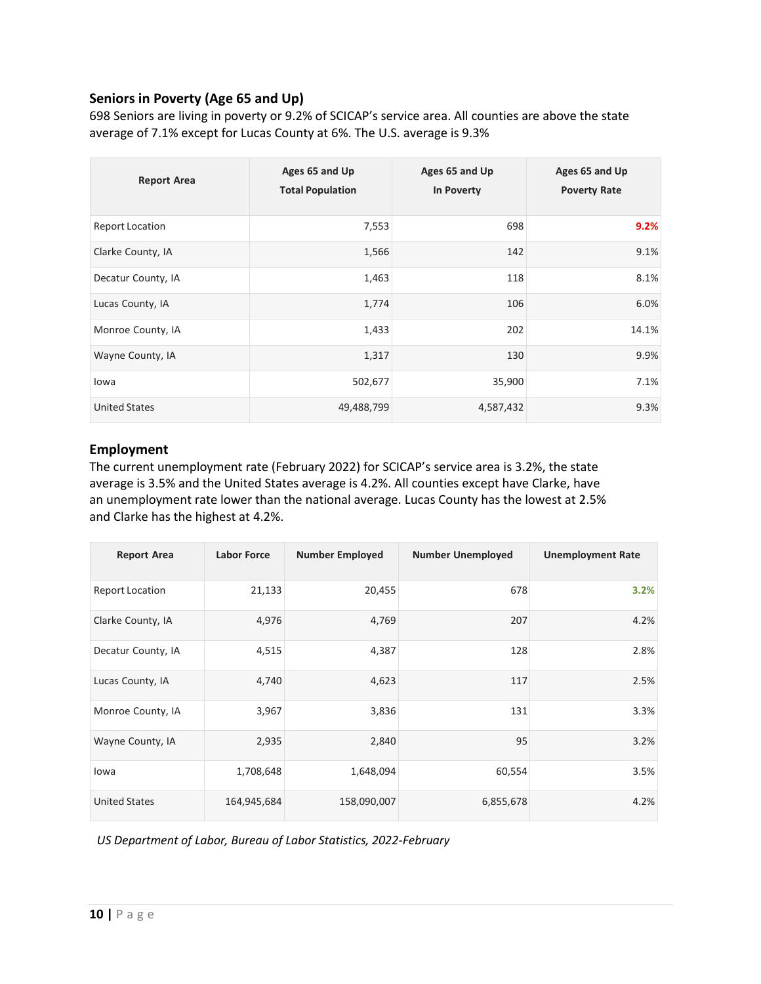# **Seniors in Poverty (Age 65 and Up)**

698 Seniors are living in poverty or 9.2% of SCICAP's service area. All counties are above the state average of 7.1% except for Lucas County at 6%. The U.S. average is 9.3%

| <b>Report Area</b>     | Ages 65 and Up<br><b>Total Population</b> | Ages 65 and Up<br>In Poverty | Ages 65 and Up<br><b>Poverty Rate</b> |
|------------------------|-------------------------------------------|------------------------------|---------------------------------------|
| <b>Report Location</b> | 7,553                                     | 698                          | 9.2%                                  |
| Clarke County, IA      | 1,566                                     | 142                          | 9.1%                                  |
| Decatur County, IA     | 1,463                                     | 118                          | 8.1%                                  |
| Lucas County, IA       | 1,774                                     | 106                          | 6.0%                                  |
| Monroe County, IA      | 1,433                                     | 202                          | 14.1%                                 |
| Wayne County, IA       | 1,317                                     | 130                          | 9.9%                                  |
| lowa                   | 502,677                                   | 35,900                       | 7.1%                                  |
| <b>United States</b>   | 49,488,799                                | 4,587,432                    | 9.3%                                  |

# **Employment**

The current unemployment rate (February 2022) for SCICAP's service area is 3.2%, the state average is 3.5% and the United States average is 4.2%. All counties except have Clarke, have an unemployment rate lower than the national average. Lucas County has the lowest at 2.5% and Clarke has the highest at 4.2%.

| <b>Report Area</b>     | <b>Labor Force</b> | <b>Number Employed</b> | <b>Number Unemployed</b> | <b>Unemployment Rate</b> |
|------------------------|--------------------|------------------------|--------------------------|--------------------------|
| <b>Report Location</b> | 21,133             | 20,455                 | 678                      | 3.2%                     |
| Clarke County, IA      | 4,976              | 4,769                  | 207                      | 4.2%                     |
| Decatur County, IA     | 4,515              | 4,387                  | 128                      | 2.8%                     |
| Lucas County, IA       | 4,740              | 4,623                  | 117                      | 2.5%                     |
| Monroe County, IA      | 3,967              | 3,836                  | 131                      | 3.3%                     |
| Wayne County, IA       | 2,935              | 2,840                  | 95                       | 3.2%                     |
| lowa                   | 1,708,648          | 1,648,094              | 60,554                   | 3.5%                     |
| <b>United States</b>   | 164,945,684        | 158,090,007            | 6,855,678                | 4.2%                     |

*US Department of Labor, Bureau of Labor Statistics, 2022-February*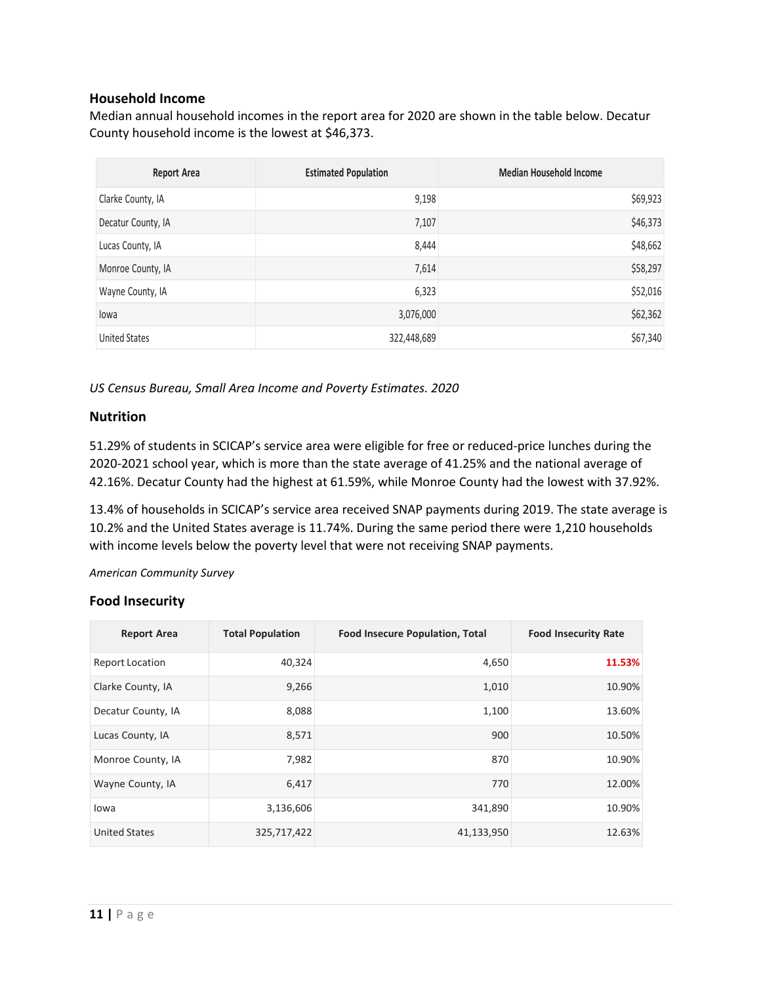# **Household Income**

Median annual household incomes in the report area for 2020 are shown in the table below. Decatur County household income is the lowest at \$46,373.

| Report Area          | <b>Estimated Population</b> | <b>Median Household Income</b> |
|----------------------|-----------------------------|--------------------------------|
| Clarke County, IA    | 9,198                       | \$69,923                       |
| Decatur County, IA   | 7,107                       | \$46,373                       |
| Lucas County, IA     | 8,444                       | \$48,662                       |
| Monroe County, IA    | 7,614                       | \$58,297                       |
| Wayne County, IA     | 6,323                       | \$52,016                       |
| lowa                 | 3,076,000                   | \$62,362                       |
| <b>United States</b> | 322,448,689                 | \$67,340                       |

*US Census Bureau, Small Area Income and Poverty Estimates. 2020*

# **Nutrition**

51.29% of students in SCICAP's service area were eligible for free or reduced-price lunches during the 2020-2021 school year, which is more than the state average of 41.25% and the national average of 42.16%. Decatur County had the highest at 61.59%, while Monroe County had the lowest with 37.92%.

13.4% of households in SCICAP's service area received SNAP payments during 2019. The state average is 10.2% and the United States average is 11.74%. During the same period there were 1,210 households with income levels below the poverty level that were not receiving SNAP payments.

*American Community Survey*

# **Food Insecurity**

| <b>Report Area</b>     | <b>Total Population</b> | <b>Food Insecure Population, Total</b> | <b>Food Insecurity Rate</b> |
|------------------------|-------------------------|----------------------------------------|-----------------------------|
| <b>Report Location</b> | 40,324                  | 4,650                                  | 11.53%                      |
| Clarke County, IA      | 9,266                   | 1,010                                  | 10.90%                      |
| Decatur County, IA     | 8,088                   | 1,100                                  | 13.60%                      |
| Lucas County, IA       | 8,571                   | 900                                    | 10.50%                      |
| Monroe County, IA      | 7,982                   | 870                                    | 10.90%                      |
| Wayne County, IA       | 6,417                   | 770                                    | 12.00%                      |
| lowa                   | 3,136,606               | 341,890                                | 10.90%                      |
| <b>United States</b>   | 325,717,422             | 41,133,950                             | 12.63%                      |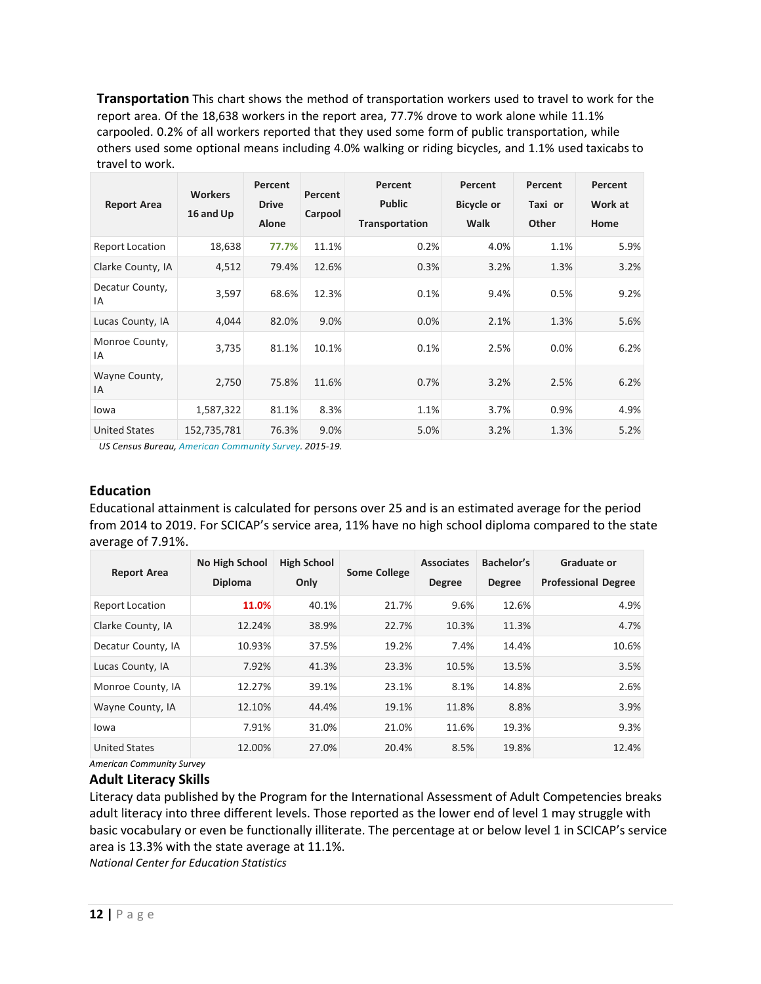**Transportation** This chart shows the method of transportation workers used to travel to work for the report area. Of the 18,638 workers in the report area, 77.7% drove to work alone while 11.1% carpooled. 0.2% of all workers reported that they used some form of public transportation, while others used some optional means including 4.0% walking or riding bicycles, and 1.1% used taxicabs to travel to work.

| <b>Report Area</b>     | <b>Workers</b><br>16 and Up | Percent<br><b>Drive</b><br>Alone | Percent<br>Carpool | Percent<br><b>Public</b><br>Transportation | Percent<br><b>Bicycle or</b><br><b>Walk</b> | Percent<br>Taxi or<br>Other | Percent<br>Work at<br>Home |
|------------------------|-----------------------------|----------------------------------|--------------------|--------------------------------------------|---------------------------------------------|-----------------------------|----------------------------|
| <b>Report Location</b> | 18,638                      | 77.7%                            | 11.1%              | 0.2%                                       | 4.0%                                        | 1.1%                        | 5.9%                       |
| Clarke County, IA      | 4,512                       | 79.4%                            | 12.6%              | 0.3%                                       | 3.2%                                        | 1.3%                        | 3.2%                       |
| Decatur County,<br>ΙA  | 3,597                       | 68.6%                            | 12.3%              | 0.1%                                       | 9.4%                                        | 0.5%                        | 9.2%                       |
| Lucas County, IA       | 4,044                       | 82.0%                            | 9.0%               | 0.0%                                       | 2.1%                                        | 1.3%                        | 5.6%                       |
| Monroe County,<br>IA   | 3,735                       | 81.1%                            | 10.1%              | 0.1%                                       | 2.5%                                        | 0.0%                        | 6.2%                       |
| Wayne County,<br>ΙA    | 2,750                       | 75.8%                            | 11.6%              | 0.7%                                       | 3.2%                                        | 2.5%                        | 6.2%                       |
| lowa                   | 1,587,322                   | 81.1%                            | 8.3%               | 1.1%                                       | 3.7%                                        | 0.9%                        | 4.9%                       |
| <b>United States</b>   | 152,735,781                 | 76.3%                            | 9.0%               | 5.0%                                       | 3.2%                                        | 1.3%                        | 5.2%                       |

*US Census Bureau, American [Community](https://www.census.gov/programs-surveys/acs/) Survey. 2015‐19.*

# **Education**

Educational attainment is calculated for persons over 25 and is an estimated average for the period from 2014 to 2019. For SCICAP's service area, 11% have no high school diploma compared to the state average of 7.91%.

| <b>Report Area</b>     | <b>No High School</b><br><b>Diploma</b> | <b>High School</b><br>Only | <b>Some College</b> | <b>Associates</b><br><b>Degree</b> | Bachelor's<br><b>Degree</b> | Graduate or<br><b>Professional Degree</b> |
|------------------------|-----------------------------------------|----------------------------|---------------------|------------------------------------|-----------------------------|-------------------------------------------|
| <b>Report Location</b> | 11.0%                                   | 40.1%                      | 21.7%               | 9.6%                               | 12.6%                       | 4.9%                                      |
| Clarke County, IA      | 12.24%                                  | 38.9%                      | 22.7%               | 10.3%                              | 11.3%                       | 4.7%                                      |
| Decatur County, IA     | 10.93%                                  | 37.5%                      | 19.2%               | 7.4%                               | 14.4%                       | 10.6%                                     |
| Lucas County, IA       | 7.92%                                   | 41.3%                      | 23.3%               | 10.5%                              | 13.5%                       | 3.5%                                      |
| Monroe County, IA      | 12.27%                                  | 39.1%                      | 23.1%               | 8.1%                               | 14.8%                       | 2.6%                                      |
| Wayne County, IA       | 12.10%                                  | 44.4%                      | 19.1%               | 11.8%                              | 8.8%                        | 3.9%                                      |
| lowa                   | 7.91%                                   | 31.0%                      | 21.0%               | 11.6%                              | 19.3%                       | 9.3%                                      |
| <b>United States</b>   | 12.00%                                  | 27.0%                      | 20.4%               | 8.5%                               | 19.8%                       | 12.4%                                     |

*American Community Survey*

#### **Adult Literacy Skills**

Literacy data published by the Program for the International Assessment of Adult Competencies breaks adult literacy into three different levels. Those reported as the lower end of level 1 may struggle with basic vocabulary or even be functionally illiterate. The percentage at or below level 1 in SCICAP's service area is 13.3% with the state average at 11.1%.

*National Center for Education Statistics*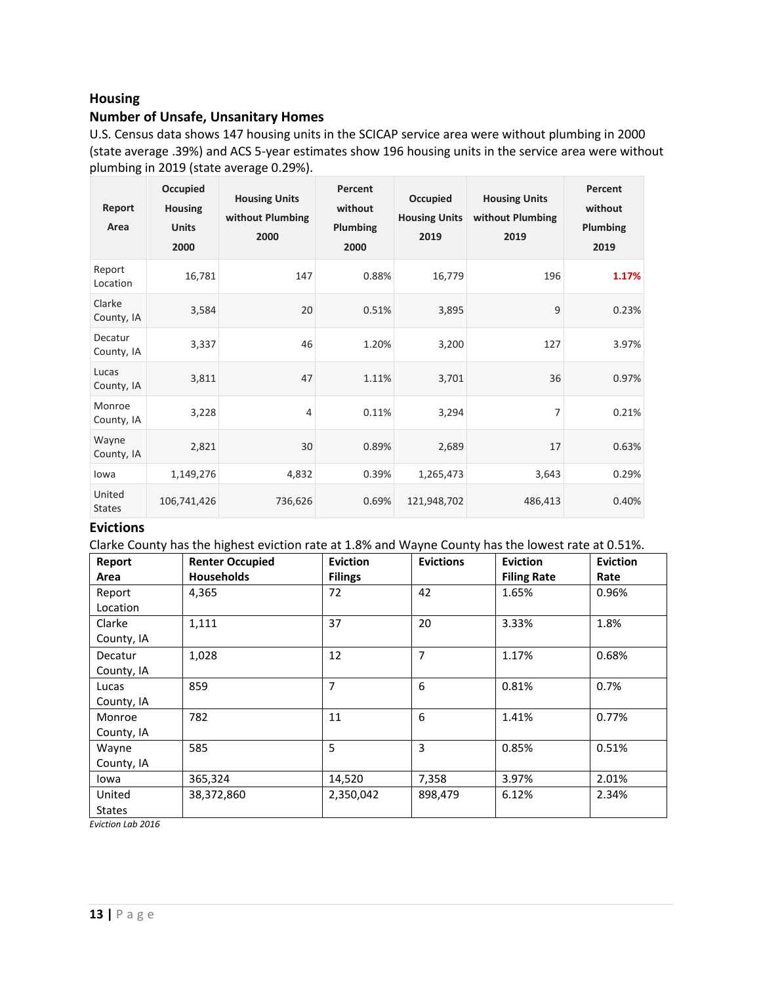# **Housing**

# **Number of Unsafe, Unsanitary Homes**

U.S. Census data shows 147 housing units in the SCICAP service area were without plumbing in 2000 (state average .39%) and ACS 5-year estimates show 196 housing units in the service area were without plumbing in 2019 (state average 0.29%).

| Report<br>Area          | Occupied<br><b>Housing</b><br><b>Units</b><br>2000 | <b>Housing Units</b><br>without Plumbing<br>2000 | Percent<br>without<br>Plumbing<br>2000 | Occupied<br><b>Housing Units</b><br>2019 | <b>Housing Units</b><br>without Plumbing<br>2019 | Percent<br>without<br>Plumbing<br>2019 |
|-------------------------|----------------------------------------------------|--------------------------------------------------|----------------------------------------|------------------------------------------|--------------------------------------------------|----------------------------------------|
| Report<br>Location      | 16,781                                             | 147                                              | 0.88%                                  | 16,779                                   | 196                                              | 1.17%                                  |
| Clarke<br>County, IA    | 3,584                                              | 20                                               | 0.51%                                  | 3,895                                    | 9                                                | 0.23%                                  |
| Decatur<br>County, IA   | 3,337                                              | 46                                               | 1.20%                                  | 3,200                                    | 127                                              | 3.97%                                  |
| Lucas<br>County, IA     | 3,811                                              | 47                                               | 1.11%                                  | 3,701                                    | 36                                               | 0.97%                                  |
| Monroe<br>County, IA    | 3,228                                              | $\overline{4}$                                   | 0.11%                                  | 3,294                                    | 7                                                | 0.21%                                  |
| Wayne<br>County, IA     | 2,821                                              | 30                                               | 0.89%                                  | 2,689                                    | 17                                               | 0.63%                                  |
| lowa                    | 1,149,276                                          | 4,832                                            | 0.39%                                  | 1,265,473                                | 3,643                                            | 0.29%                                  |
| United<br><b>States</b> | 106,741,426                                        | 736,626                                          | 0.69%                                  | 121,948,702                              | 486,413                                          | 0.40%                                  |

## **Evictions**

Clarke County has the highest eviction rate at 1.8% and Wayne County has the lowest rate at 0.51%.

| Report        | <b>Renter Occupied</b> | <b>Eviction</b> | <b>Evictions</b> | <b>Eviction</b>    | <b>Eviction</b> |
|---------------|------------------------|-----------------|------------------|--------------------|-----------------|
| Area          | <b>Households</b>      | <b>Filings</b>  |                  | <b>Filing Rate</b> | Rate            |
| Report        | 4,365                  | 72              | 42               | 1.65%              | 0.96%           |
| Location      |                        |                 |                  |                    |                 |
| Clarke        | 1,111                  | 37              | 20               | 3.33%              | 1.8%            |
| County, IA    |                        |                 |                  |                    |                 |
| Decatur       | 1,028                  | 12              | $\overline{7}$   | 1.17%              | 0.68%           |
| County, IA    |                        |                 |                  |                    |                 |
| Lucas         | 859                    | 7               | 6                | 0.81%              | 0.7%            |
| County, IA    |                        |                 |                  |                    |                 |
| Monroe        | 782                    | 11              | 6                | 1.41%              | 0.77%           |
| County, IA    |                        |                 |                  |                    |                 |
| Wayne         | 585                    | 5               | 3                | 0.85%              | 0.51%           |
| County, IA    |                        |                 |                  |                    |                 |
| lowa          | 365,324                | 14,520          | 7,358            | 3.97%              | 2.01%           |
| United        | 38,372,860             | 2,350,042       | 898,479          | 6.12%              | 2.34%           |
| <b>States</b> |                        |                 |                  |                    |                 |

*Eviction Lab 2016*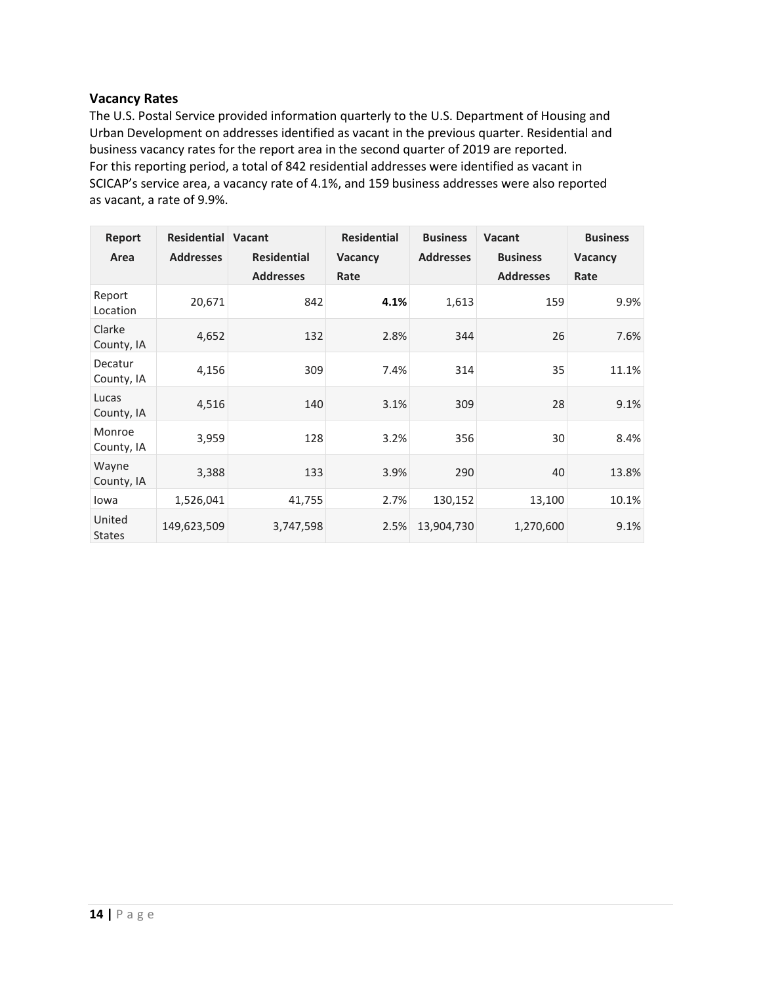# **Vacancy Rates**

The U.S. Postal Service provided information quarterly to the U.S. Department of Housing and Urban Development on addresses identified as vacant in the previous quarter. Residential and business vacancy rates for the report area in the second quarter of 2019 are reported. For this reporting period, a total of 842 residential addresses were identified as vacant in SCICAP's service area, a vacancy rate of 4.1%, and 159 business addresses were also reported as vacant, a rate of 9.9%.

| Report<br>Area          | <b>Residential Vacant</b><br><b>Addresses</b> | <b>Residential</b><br><b>Addresses</b> | <b>Residential</b><br><b>Vacancy</b><br>Rate | <b>Business</b><br><b>Addresses</b> | Vacant<br><b>Business</b><br><b>Addresses</b> | <b>Business</b><br>Vacancy<br>Rate |
|-------------------------|-----------------------------------------------|----------------------------------------|----------------------------------------------|-------------------------------------|-----------------------------------------------|------------------------------------|
| Report<br>Location      | 20,671                                        | 842                                    | 4.1%                                         | 1,613                               | 159                                           | 9.9%                               |
| Clarke<br>County, IA    | 4,652                                         | 132                                    | 2.8%                                         | 344                                 | 26                                            | 7.6%                               |
| Decatur<br>County, IA   | 4,156                                         | 309                                    | 7.4%                                         | 314                                 | 35                                            | 11.1%                              |
| Lucas<br>County, IA     | 4,516                                         | 140                                    | 3.1%                                         | 309                                 | 28                                            | 9.1%                               |
| Monroe<br>County, IA    | 3,959                                         | 128                                    | 3.2%                                         | 356                                 | 30                                            | 8.4%                               |
| Wayne<br>County, IA     | 3,388                                         | 133                                    | 3.9%                                         | 290                                 | 40                                            | 13.8%                              |
| lowa                    | 1,526,041                                     | 41,755                                 | 2.7%                                         | 130,152                             | 13,100                                        | 10.1%                              |
| United<br><b>States</b> | 149,623,509                                   | 3,747,598                              | 2.5%                                         | 13,904,730                          | 1,270,600                                     | 9.1%                               |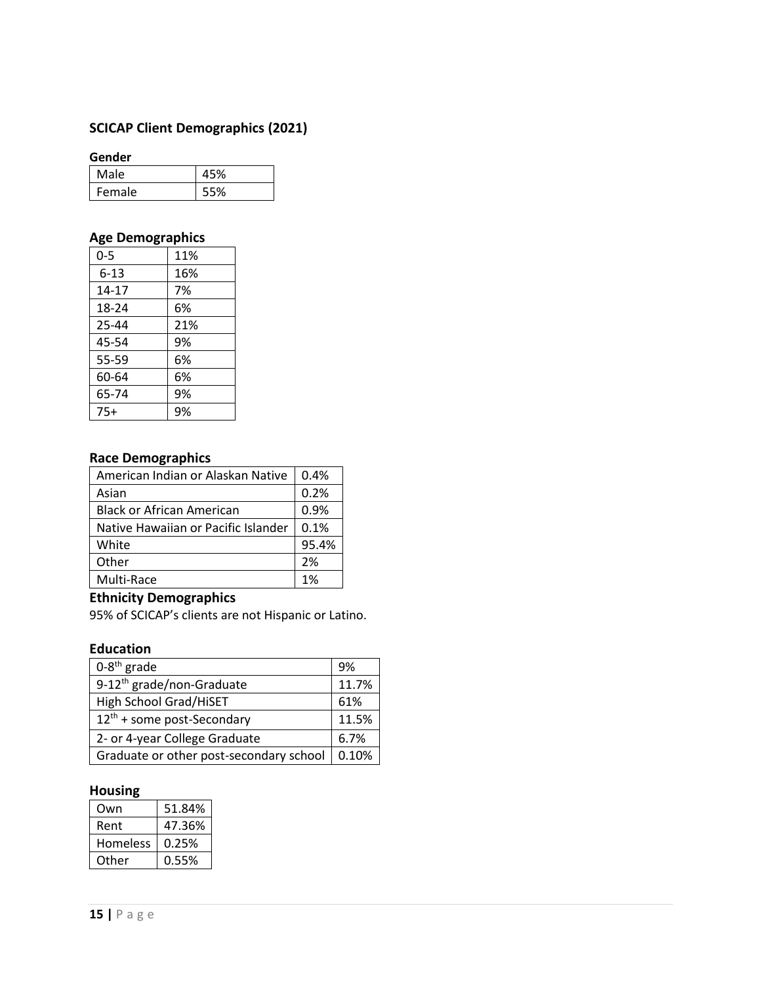# **SCICAP Client Demographics (2021)**

#### **Gender**

| Male   | 5%، |
|--------|-----|
| Female | -5% |

# **Age Demographics**

| 0-5       | 11% |
|-----------|-----|
| $6 - 13$  | 16% |
| $14 - 17$ | 7%  |
| 18-24     | 6%  |
| 25-44     | 21% |
| 45-54     | 9%  |
| 55-59     | 6%  |
| 60-64     | 6%  |
| 65-74     | 9%  |
| $75+$     | 9%  |

# **Race Demographics**

| American Indian or Alaskan Native   | 0.4%  |
|-------------------------------------|-------|
| Asian                               | 0.2%  |
| <b>Black or African American</b>    | 0.9%  |
| Native Hawaiian or Pacific Islander | 0.1%  |
| White                               | 95.4% |
| Other                               | 2%    |
| Multi-Race                          | 1%    |

# **Ethnicity Demographics**

95% of SCICAP's clients are not Hispanic or Latino.

# **Education**

| $0-8$ <sup>th</sup> grade               | 9%    |
|-----------------------------------------|-------|
| 9-12 <sup>th</sup> grade/non-Graduate   | 11.7% |
| High School Grad/HiSET                  | 61%   |
| 12 <sup>th</sup> + some post-Secondary  | 11.5% |
| 2- or 4-year College Graduate           | 6.7%  |
| Graduate or other post-secondary school | 0.10% |

# **Housing**

| Own      | 51.84% |
|----------|--------|
| Rent     | 47.36% |
| Homeless | 0.25%  |
| Other    | 0.55%  |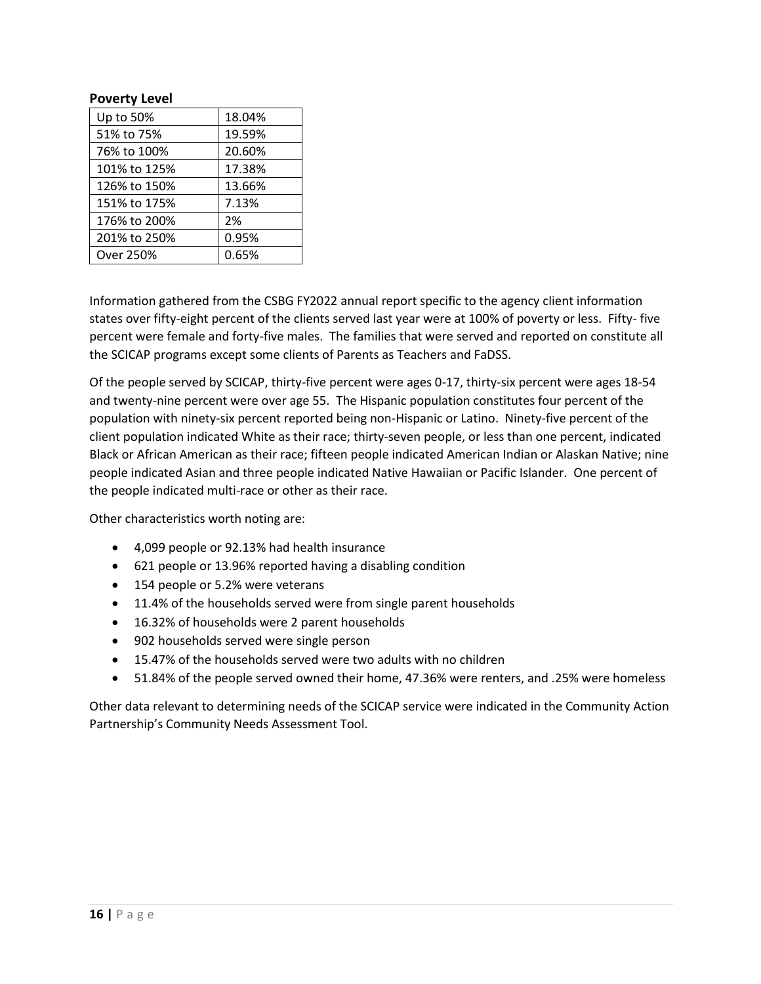#### **Poverty Level**

| Up to 50%    | 18.04% |
|--------------|--------|
| 51% to 75%   | 19.59% |
| 76% to 100%  | 20.60% |
| 101% to 125% | 17.38% |
| 126% to 150% | 13.66% |
| 151% to 175% | 7.13%  |
| 176% to 200% | 2%     |
| 201% to 250% | 0.95%  |
| Over 250%    | 0.65%  |

Information gathered from the CSBG FY2022 annual report specific to the agency client information states over fifty-eight percent of the clients served last year were at 100% of poverty or less. Fifty- five percent were female and forty-five males. The families that were served and reported on constitute all the SCICAP programs except some clients of Parents as Teachers and FaDSS.

Of the people served by SCICAP, thirty-five percent were ages 0-17, thirty-six percent were ages 18-54 and twenty-nine percent were over age 55. The Hispanic population constitutes four percent of the population with ninety-six percent reported being non-Hispanic or Latino. Ninety-five percent of the client population indicated White as their race; thirty-seven people, or less than one percent, indicated Black or African American as their race; fifteen people indicated American Indian or Alaskan Native; nine people indicated Asian and three people indicated Native Hawaiian or Pacific Islander. One percent of the people indicated multi-race or other as their race.

Other characteristics worth noting are:

- 4,099 people or 92.13% had health insurance
- 621 people or 13.96% reported having a disabling condition
- 154 people or 5.2% were veterans
- 11.4% of the households served were from single parent households
- 16.32% of households were 2 parent households
- 902 households served were single person
- 15.47% of the households served were two adults with no children
- 51.84% of the people served owned their home, 47.36% were renters, and .25% were homeless

Other data relevant to determining needs of the SCICAP service were indicated in the Community Action Partnership's Community Needs Assessment Tool.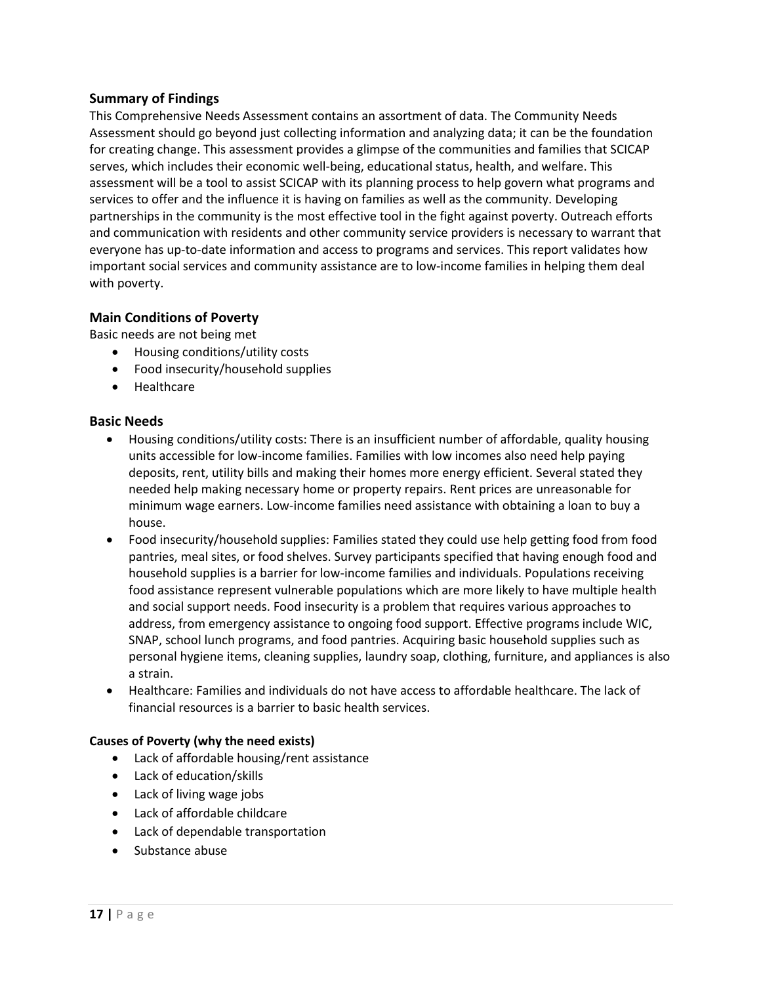# **Summary of Findings**

This Comprehensive Needs Assessment contains an assortment of data. The Community Needs Assessment should go beyond just collecting information and analyzing data; it can be the foundation for creating change. This assessment provides a glimpse of the communities and families that SCICAP serves, which includes their economic well-being, educational status, health, and welfare. This assessment will be a tool to assist SCICAP with its planning process to help govern what programs and services to offer and the influence it is having on families as well as the community. Developing partnerships in the community is the most effective tool in the fight against poverty. Outreach efforts and communication with residents and other community service providers is necessary to warrant that everyone has up-to-date information and access to programs and services. This report validates how important social services and community assistance are to low-income families in helping them deal with poverty.

# **Main Conditions of Poverty**

Basic needs are not being met

- Housing conditions/utility costs
- Food insecurity/household supplies
- Healthcare

#### **Basic Needs**

- Housing conditions/utility costs: There is an insufficient number of affordable, quality housing units accessible for low-income families. Families with low incomes also need help paying deposits, rent, utility bills and making their homes more energy efficient. Several stated they needed help making necessary home or property repairs. Rent prices are unreasonable for minimum wage earners. Low-income families need assistance with obtaining a loan to buy a house.
- Food insecurity/household supplies: Families stated they could use help getting food from food pantries, meal sites, or food shelves. Survey participants specified that having enough food and household supplies is a barrier for low-income families and individuals. Populations receiving food assistance represent vulnerable populations which are more likely to have multiple health and social support needs. Food insecurity is a problem that requires various approaches to address, from emergency assistance to ongoing food support. Effective programs include WIC, SNAP, school lunch programs, and food pantries. Acquiring basic household supplies such as personal hygiene items, cleaning supplies, laundry soap, clothing, furniture, and appliances is also a strain.
- Healthcare: Families and individuals do not have access to affordable healthcare. The lack of financial resources is a barrier to basic health services.

#### **Causes of Poverty (why the need exists)**

- Lack of affordable housing/rent assistance
- Lack of education/skills
- Lack of living wage jobs
- Lack of affordable childcare
- Lack of dependable transportation
- Substance abuse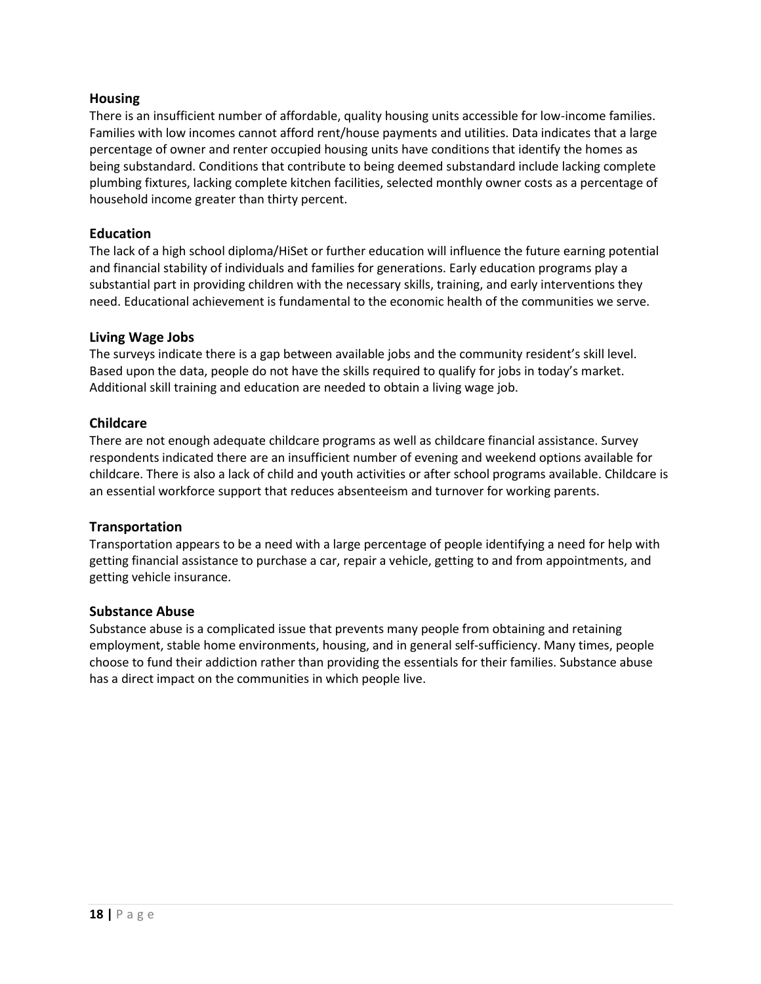# **Housing**

There is an insufficient number of affordable, quality housing units accessible for low-income families. Families with low incomes cannot afford rent/house payments and utilities. Data indicates that a large percentage of owner and renter occupied housing units have conditions that identify the homes as being substandard. Conditions that contribute to being deemed substandard include lacking complete plumbing fixtures, lacking complete kitchen facilities, selected monthly owner costs as a percentage of household income greater than thirty percent.

# **Education**

The lack of a high school diploma/HiSet or further education will influence the future earning potential and financial stability of individuals and families for generations. Early education programs play a substantial part in providing children with the necessary skills, training, and early interventions they need. Educational achievement is fundamental to the economic health of the communities we serve.

#### **Living Wage Jobs**

The surveys indicate there is a gap between available jobs and the community resident's skill level. Based upon the data, people do not have the skills required to qualify for jobs in today's market. Additional skill training and education are needed to obtain a living wage job.

# **Childcare**

There are not enough adequate childcare programs as well as childcare financial assistance. Survey respondents indicated there are an insufficient number of evening and weekend options available for childcare. There is also a lack of child and youth activities or after school programs available. Childcare is an essential workforce support that reduces absenteeism and turnover for working parents.

#### **Transportation**

Transportation appears to be a need with a large percentage of people identifying a need for help with getting financial assistance to purchase a car, repair a vehicle, getting to and from appointments, and getting vehicle insurance.

#### **Substance Abuse**

Substance abuse is a complicated issue that prevents many people from obtaining and retaining employment, stable home environments, housing, and in general self-sufficiency. Many times, people choose to fund their addiction rather than providing the essentials for their families. Substance abuse has a direct impact on the communities in which people live.